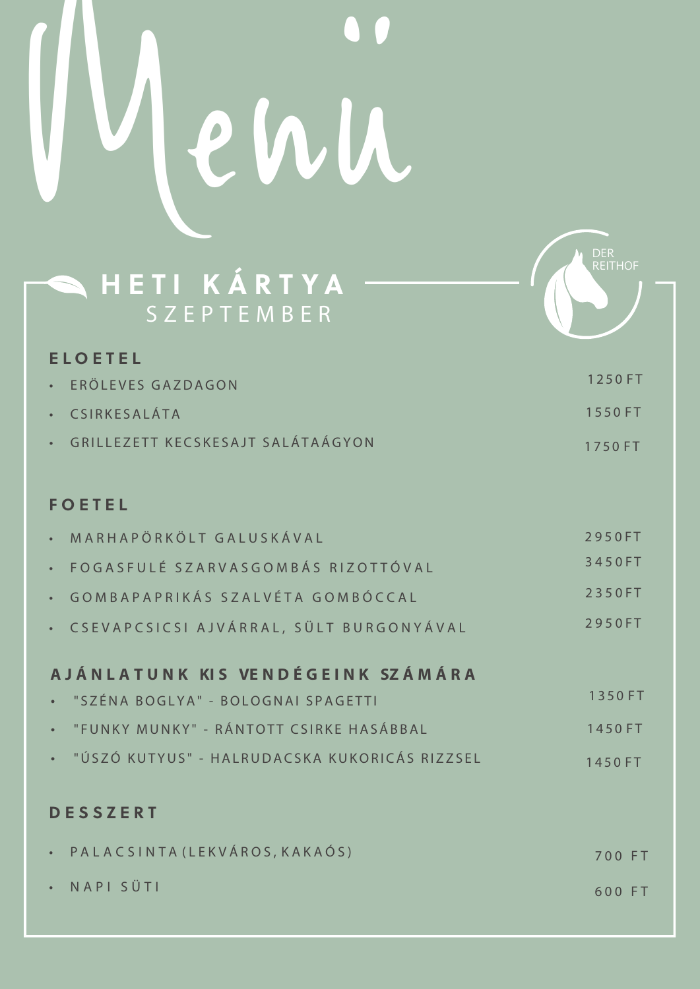## Menü

| HETI KÁRTYA<br>SZEPTEMBER                     | <b>REITHOR</b> |
|-----------------------------------------------|----------------|
| <b>ELOETEL</b>                                |                |
| ERÖLEVES GAZDAGON                             | 1250 FT        |
| CSIRKESALÁTA                                  | 1550FT         |
| GRILLEZETT KECSKESAJT SALÁTAÁGYON             | 1750 FT        |
|                                               |                |
| <b>FOETEL</b>                                 |                |
| MARHAPÖRKÖLT GALUSKÁVAL                       | 2950FT         |
| FOGASFULÉ SZARVASGOMBÁS RIZOTTÓVAL            | 3450FT         |
| GOMBAPAPRIKÁS SZALVÉTA GOMBÓCCAL              | 2350FT         |
| CSEVAPCSICSI AJVÁRRAL, SÜLT BURGONYÁVAL       | 2950FT         |
| AJÁNLATUNK KIS VENDÉGEINK SZÁMÁRA             |                |
| "SZÉNA BOGLYA" - BOLOGNAI SPAGETTI            | 1350 FT        |
| "FUNKY MUNKY" - RÁNTOTT CSIRKE HASÁBBAL       | 1450 FT        |
| "ÚSZÓ KUTYUS" - HALRUDACSKA KUKORICÁS RIZZSEL | 1450 FT        |
|                                               |                |

**A** DER

## **DESSZERT**

| · PALACSINTA (LEKVÁROS, KAKAÓS) | 700 FT |  |
|---------------------------------|--------|--|
| · NAPI SÜTI                     | 600 FT |  |